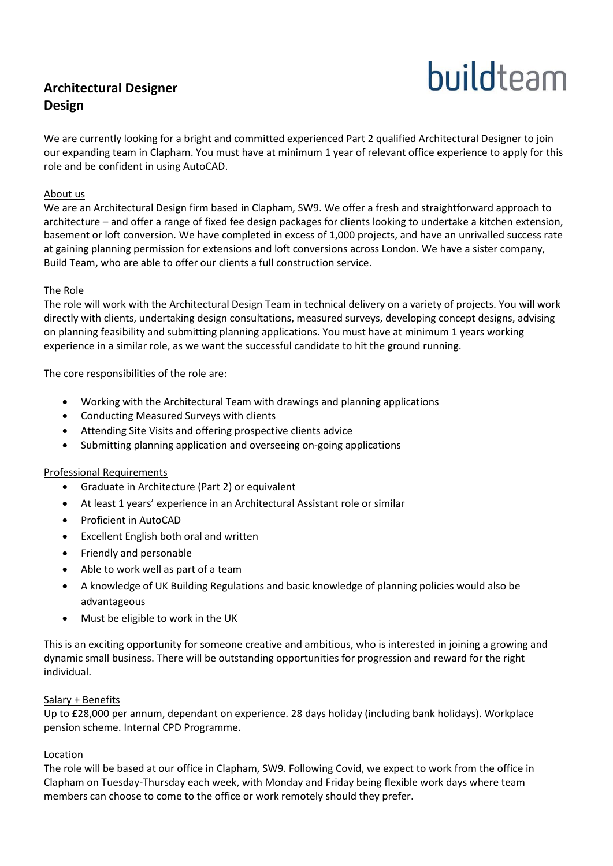## **Architectural Designer Design**

# buildteam

We are currently looking for a bright and committed experienced Part 2 qualified Architectural Designer to join our expanding team in Clapham. You must have at minimum 1 year of relevant office experience to apply for this role and be confident in using AutoCAD.

#### About us

We are an Architectural Design firm based in Clapham, SW9. We offer a fresh and straightforward approach to architecture – and offer a range of fixed fee design packages for clients looking to undertake a kitchen extension, basement or loft conversion. We have completed in excess of 1,000 projects, and have an unrivalled success rate at gaining planning permission for extensions and loft conversions across London. We have a sister company, Build Team, who are able to offer our clients a full construction service.

#### The Role

The role will work with the Architectural Design Team in technical delivery on a variety of projects. You will work directly with clients, undertaking design consultations, measured surveys, developing concept designs, advising on planning feasibility and submitting planning applications. You must have at minimum 1 years working experience in a similar role, as we want the successful candidate to hit the ground running.

The core responsibilities of the role are:

- Working with the Architectural Team with drawings and planning applications
- Conducting Measured Surveys with clients
- Attending Site Visits and offering prospective clients advice
- Submitting planning application and overseeing on-going applications

#### Professional Requirements

- Graduate in Architecture (Part 2) or equivalent
- At least 1 years' experience in an Architectural Assistant role or similar
- Proficient in AutoCAD
- Excellent English both oral and written
- Friendly and personable
- Able to work well as part of a team
- A knowledge of UK Building Regulations and basic knowledge of planning policies would also be advantageous
- Must be eligible to work in the UK

This is an exciting opportunity for someone creative and ambitious, who is interested in joining a growing and dynamic small business. There will be outstanding opportunities for progression and reward for the right individual.

#### Salary + Benefits

Up to £28,000 per annum, dependant on experience. 28 days holiday (including bank holidays). Workplace pension scheme. Internal CPD Programme.

#### Location

The role will be based at our office in Clapham, SW9. Following Covid, we expect to work from the office in Clapham on Tuesday-Thursday each week, with Monday and Friday being flexible work days where team members can choose to come to the office or work remotely should they prefer.